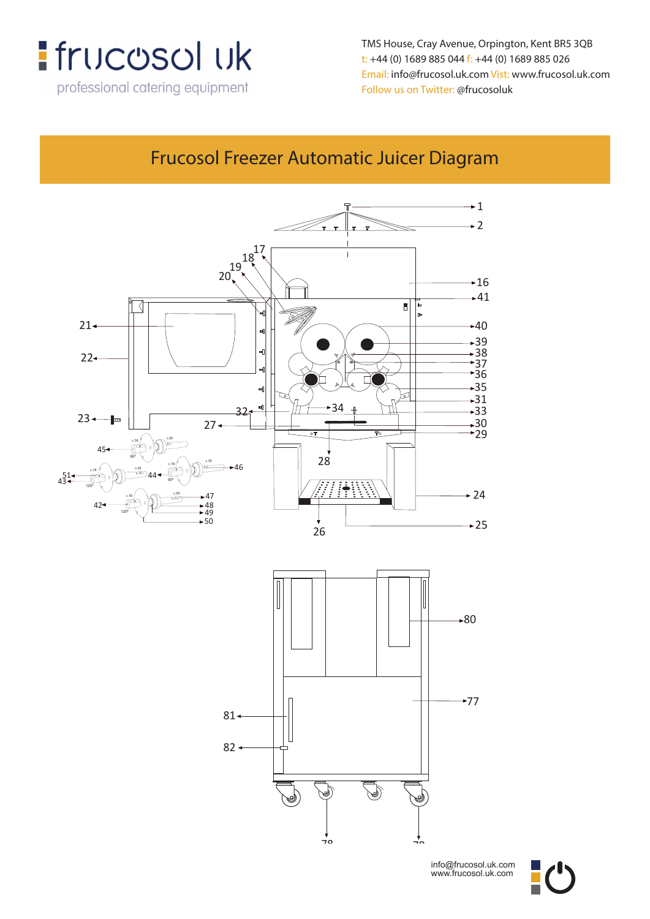

**Email: info@frucosol.uk.com Vist: www.frucosol.uk.com** TMS House, Cray Avenue, Orpington, Kent BR5 3QB **Follow us on Twitter: @frucosoluk** Email: info@frucosol.uk.com Vist: www.frucosol.uk.com t: +44 (0) 1689 885 044 f: +44 (0) 1689 885 026 Follow us on Twitter: @frucosoluk

### Frucosol Freezer Automatic Juicer Diagram

**Frucosol Freezer Automatic Juicer Diagram**



info@frucosol.uk.com www.frucosol.uk.com

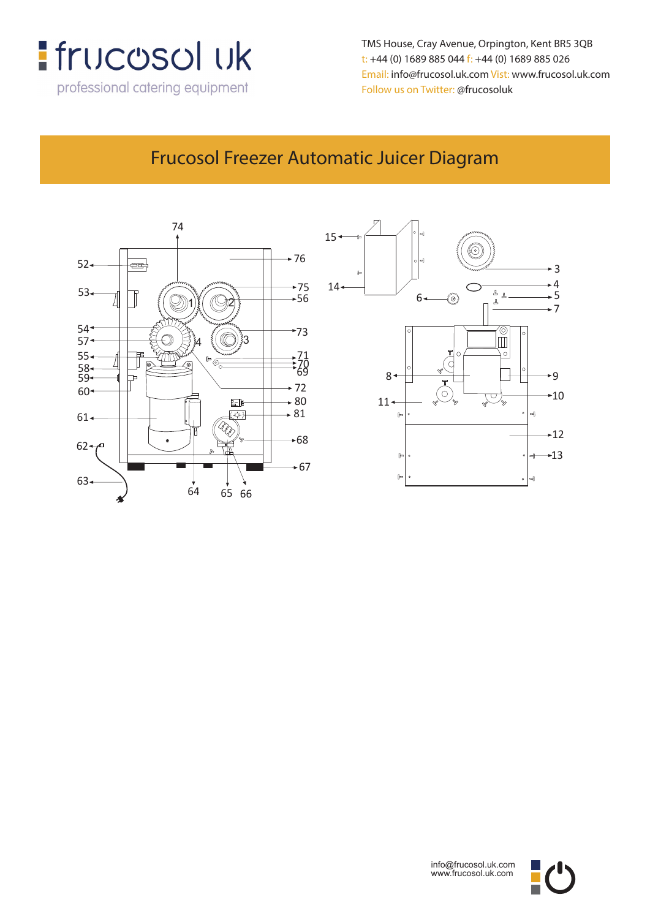

**TMS House, Crey Avenue, Orpington, Kent, BR5 3QB** t: +44 (0) 1689 885 044 f: +44 (0) 1689 885 026 **t: +44 (0) 1689 885 044 f: +44 (0) 1689 885 026** Follow us on Twitter: @frucosoluk TMS House, Cray Avenue, Orpington, Kent BR5 3QB Email: info@frucosol.uk.com Vist: www.frucosol.uk.com

### Frucosol Freezer Automatic Juicer Diagram





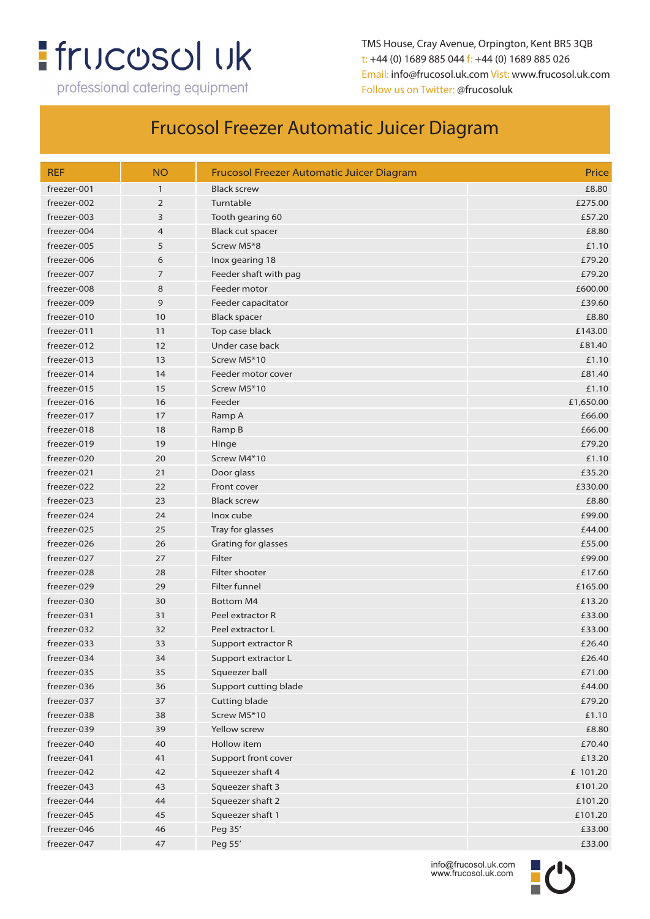# **:** frucosol uk

professional catering equipment

TMS House, Cray Avenue, Orpington, Kent BR5 3QB t: +44 (0) 1689 885 044 f: +44 (0) 1689 885 026 Email: info@frucosol.uk.com Vist: www.frucosol.uk.com Follow us on Twitter: @frucosoluk

| <b>REF</b>  | <b>NO</b>      | <b>Frucosol Freezer Automatic Juicer Diagram</b> | Price     |
|-------------|----------------|--------------------------------------------------|-----------|
| freezer-001 | $\mathbf{1}$   | <b>Black screw</b>                               | £8.80     |
| freezer-002 | $\overline{2}$ | Turntable                                        | £275.00   |
| freezer-003 | 3              | Tooth gearing 60                                 | £57.20    |
| freezer-004 | $\overline{4}$ | <b>Black cut spacer</b>                          | £8.80     |
| freezer-005 | 5              | Screw M5*8                                       | £1.10     |
| freezer-006 | 6              | Inox gearing 18                                  | £79.20    |
| freezer-007 | $\overline{7}$ | Feeder shaft with pag                            | £79.20    |
| freezer-008 | 8              | Feeder motor                                     | £600.00   |
| freezer-009 | 9              | Feeder capacitator                               | £39.60    |
| freezer-010 | 10             | <b>Black spacer</b>                              | £8.80     |
| freezer-011 | 11             | Top case black                                   | £143.00   |
| freezer-012 | 12             | Under case back                                  | £81.40    |
| freezer-013 | 13             | Screw M5*10                                      | £1.10     |
| freezer-014 | 14             | Feeder motor cover                               | £81.40    |
| freezer-015 | 15             | Screw M5*10                                      | £1.10     |
| freezer-016 | 16             | Feeder                                           | £1,650.00 |
| freezer-017 | 17             | Ramp A                                           | £66.00    |
| freezer-018 | 18             | Ramp B                                           | £66.00    |
| freezer-019 | 19             | Hinge                                            | £79.20    |
| freezer-020 | 20             | Screw M4*10                                      | £1.10     |
| freezer-021 | 21             | Door glass                                       | £35.20    |
| freezer-022 | 22             | Front cover                                      | £330.00   |
| freezer-023 | 23             | <b>Black screw</b>                               | £8.80     |
| freezer-024 | 24             | Inox cube                                        | £99.00    |
| freezer-025 | 25             | Tray for glasses                                 | £44.00    |
| freezer-026 | 26             | Grating for glasses                              | £55.00    |
| freezer-027 | 27             | Filter                                           | £99.00    |
| freezer-028 | 28             | Filter shooter                                   | £17.60    |
| freezer-029 | 29             | <b>Filter funnel</b>                             | £165.00   |
| freezer-030 | 30             | <b>Bottom M4</b>                                 | £13.20    |
| freezer-031 | 31             | Peel extractor R                                 | £33.00    |
| freezer-032 | 32             | Peel extractor L                                 | £33.00    |
| freezer-033 | 33             | Support extractor R                              | £26.40    |
| freezer-034 | 34             | Support extractor L                              | £26.40    |
| freezer-035 | 35             | Squeezer ball                                    | £71.00    |
| freezer-036 | 36             | Support cutting blade                            | £44.00    |
| freezer-037 | 37             | Cutting blade                                    | £79.20    |
| freezer-038 | 38             | Screw M5*10                                      | £1.10     |
| freezer-039 | 39             | Yellow screw                                     | £8.80     |
| freezer-040 | 40             | Hollow item                                      | £70.40    |
| freezer-041 | 41             | Support front cover                              | £13.20    |
| freezer-042 | 42             | Squeezer shaft 4                                 | £ 101.20  |
| freezer-043 | 43             | Squeezer shaft 3                                 | £101.20   |
| freezer-044 | 44             | Squeezer shaft 2                                 | £101.20   |
| freezer-045 | 45             | Squeezer shaft 1                                 | £101.20   |
| freezer-046 | 46             | Peg 35'                                          | £33.00    |
| freezer-047 | 47             | Peg 55'                                          | £33.00    |

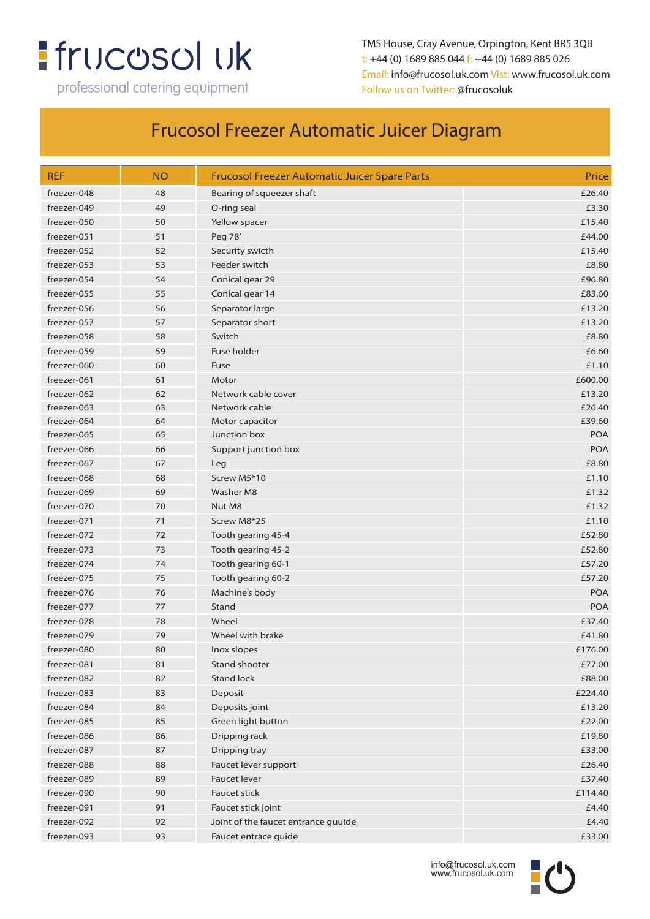## **:** frucosol uk

professional catering equipment

TMS House, Cray Avenue, Orpington, Kent BR5 3QB t: +44 (0) 1689 885 044 f: +44 (0) 1689 885 026 Email: info@frucosol.uk.com Vist: www.frucosol.uk.com Follow us on Twitter: @frucosoluk

| <b>REF</b>  | <b>NO</b> | <b>Frucosol Freezer Automatic Juicer Spare Parts</b> | Price      |
|-------------|-----------|------------------------------------------------------|------------|
| freezer-048 | 48        | Bearing of squeezer shaft                            | £26.40     |
| freezer-049 | 49        | O-ring seal                                          | £3.30      |
| freezer-050 | 50        | Yellow spacer                                        | £15.40     |
| freezer-051 | 51        | Peg 78'                                              | £44.00     |
| freezer-052 | 52        | Security swicth                                      | £15.40     |
| freezer-053 | 53        | Feeder switch                                        | £8.80      |
| freezer-054 | 54        | Conical gear 29                                      | £96.80     |
| freezer-055 | 55        | Conical gear 14                                      | £83.60     |
| freezer-056 | 56        | Separator large                                      | £13.20     |
| freezer-057 | 57        | Separator short                                      | £13.20     |
| freezer-058 | 58        | Switch                                               | £8.80      |
| freezer-059 | 59        | Fuse holder                                          | £6.60      |
| freezer-060 | 60        | Fuse                                                 | £1.10      |
| freezer-061 | 61        | Motor                                                | £600.00    |
| freezer-062 | 62        | Network cable cover                                  | £13.20     |
| freezer-063 | 63        | Network cable                                        | £26.40     |
| freezer-064 | 64        | Motor capacitor                                      | £39.60     |
| freezer-065 | 65        | Junction box                                         | <b>POA</b> |
| freezer-066 | 66        | Support junction box                                 | <b>POA</b> |
| freezer-067 | 67        | Leg                                                  | £8.80      |
| freezer-068 | 68        | Screw M5*10                                          | £1.10      |
| freezer-069 | 69        | <b>Washer M8</b>                                     | £1.32      |
| freezer-070 | 70        | Nut M8                                               | £1.32      |
| freezer-071 | 71        | Screw M8*25                                          | £1.10      |
| freezer-072 | 72        | Tooth gearing 45-4                                   | £52.80     |
| freezer-073 | 73        | Tooth gearing 45-2                                   | £52.80     |
| freezer-074 | 74        | Tooth gearing 60-1                                   | £57.20     |
| freezer-075 | 75        | Tooth gearing 60-2                                   | £57.20     |
| freezer-076 | 76        | Machine's body                                       | <b>POA</b> |
| freezer-077 | 77        | Stand                                                | <b>POA</b> |
| freezer-078 | 78        | Wheel                                                | £37.40     |
| freezer-079 | 79        | Wheel with brake                                     | £41.80     |
| freezer-080 | 80        | Inox slopes                                          | £176.00    |
| freezer-081 | 81        | Stand shooter                                        | £77.00     |
| freezer-082 | 82        | <b>Stand lock</b>                                    | £88.00     |
| freezer-083 | 83        | Deposit                                              | £224.40    |
| freezer-084 | 84        | Deposits joint                                       | £13.20     |
| freezer-085 | 85        | Green light button                                   | £22.00     |
| freezer-086 | 86        | Dripping rack                                        | £19.80     |
| freezer-087 | 87        | Dripping tray                                        | £33.00     |
| freezer-088 | 88        | Faucet lever support                                 | £26.40     |
| freezer-089 | 89        | <b>Faucet lever</b>                                  | £37.40     |
| freezer-090 | 90        | <b>Faucet stick</b>                                  | £114.40    |
| freezer-091 | 91        | Faucet stick joint                                   | £4.40      |
| freezer-092 | 92        | Joint of the faucet entrance guuide                  | £4.40      |
| freezer-093 | 93        | Faucet entrace guide                                 | £33.00     |